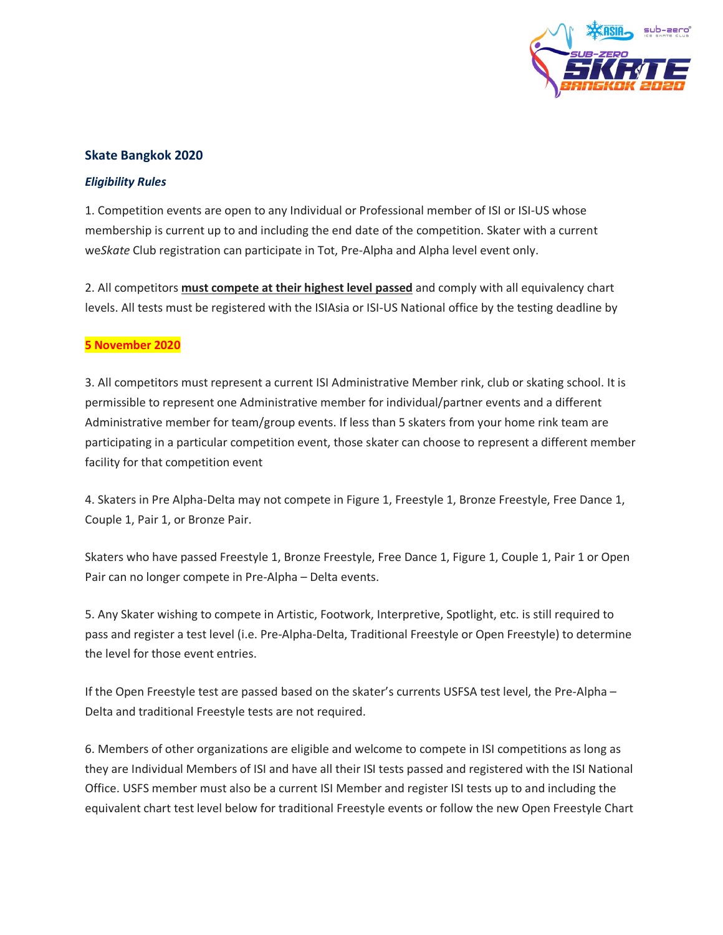

## **Skate Bangkok 2020**

## *Eligibility Rules*

1. Competition events are open to any Individual or Professional member of ISI or ISI-US whose membership is current up to and including the end date of the competition. Skater with a current we*Skate* Club registration can participate in Tot, Pre-Alpha and Alpha level event only.

2. All competitors **must compete at their highest level passed** and comply with all equivalency chart levels. All tests must be registered with the ISIAsia or ISI-US National office by the testing deadline by

## **5 November 2020**

3. All competitors must represent a current ISI Administrative Member rink, club or skating school. It is permissible to represent one Administrative member for individual/partner events and a different Administrative member for team/group events. If less than 5 skaters from your home rink team are participating in a particular competition event, those skater can choose to represent a different member facility for that competition event

4. Skaters in Pre Alpha-Delta may not compete in Figure 1, Freestyle 1, Bronze Freestyle, Free Dance 1, Couple 1, Pair 1, or Bronze Pair.

Skaters who have passed Freestyle 1, Bronze Freestyle, Free Dance 1, Figure 1, Couple 1, Pair 1 or Open Pair can no longer compete in Pre-Alpha – Delta events.

5. Any Skater wishing to compete in Artistic, Footwork, Interpretive, Spotlight, etc. is still required to pass and register a test level (i.e. Pre-Alpha-Delta, Traditional Freestyle or Open Freestyle) to determine the level for those event entries.

If the Open Freestyle test are passed based on the skater's currents USFSA test level, the Pre-Alpha – Delta and traditional Freestyle tests are not required.

6. Members of other organizations are eligible and welcome to compete in ISI competitions as long as they are Individual Members of ISI and have all their ISI tests passed and registered with the ISI National Office. USFS member must also be a current ISI Member and register ISI tests up to and including the equivalent chart test level below for traditional Freestyle events or follow the new Open Freestyle Chart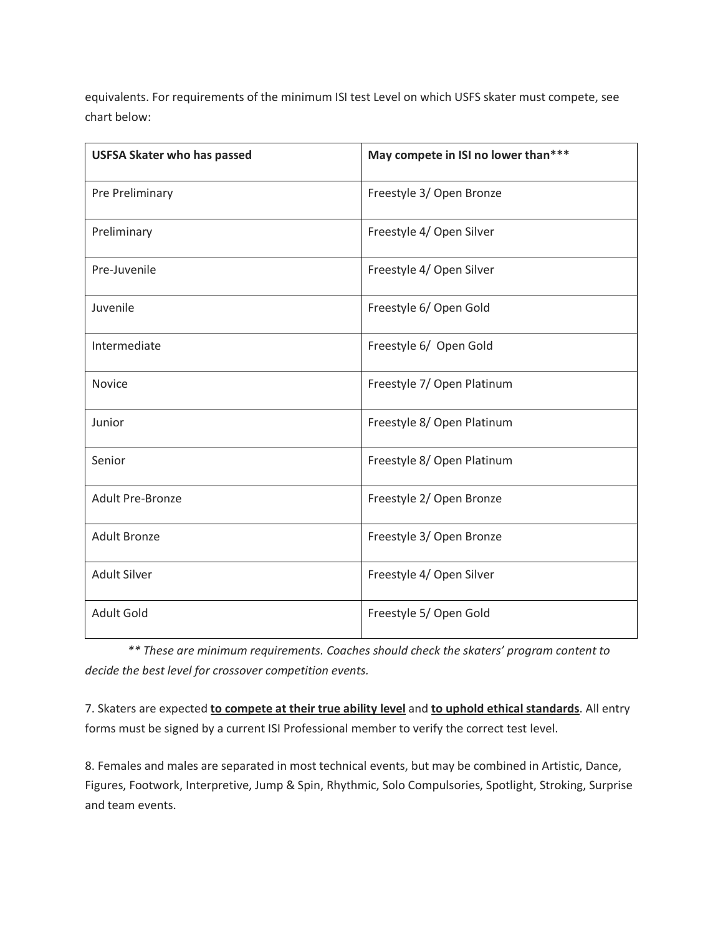equivalents. For requirements of the minimum ISI test Level on which USFS skater must compete, see chart below:

| <b>USFSA Skater who has passed</b> | May compete in ISI no lower than*** |
|------------------------------------|-------------------------------------|
| Pre Preliminary                    | Freestyle 3/ Open Bronze            |
| Preliminary                        | Freestyle 4/ Open Silver            |
| Pre-Juvenile                       | Freestyle 4/ Open Silver            |
| Juvenile                           | Freestyle 6/ Open Gold              |
| Intermediate                       | Freestyle 6/ Open Gold              |
| <b>Novice</b>                      | Freestyle 7/ Open Platinum          |
| Junior                             | Freestyle 8/ Open Platinum          |
| Senior                             | Freestyle 8/ Open Platinum          |
| <b>Adult Pre-Bronze</b>            | Freestyle 2/ Open Bronze            |
| <b>Adult Bronze</b>                | Freestyle 3/ Open Bronze            |
| <b>Adult Silver</b>                | Freestyle 4/ Open Silver            |
| <b>Adult Gold</b>                  | Freestyle 5/ Open Gold              |

*\*\* These are minimum requirements. Coaches should check the skaters' program content to decide the best level for crossover competition events.*

7. Skaters are expected **to compete at their true ability level** and **to uphold ethical standards**. All entry forms must be signed by a current ISI Professional member to verify the correct test level.

8. Females and males are separated in most technical events, but may be combined in Artistic, Dance, Figures, Footwork, Interpretive, Jump & Spin, Rhythmic, Solo Compulsories, Spotlight, Stroking, Surprise and team events.